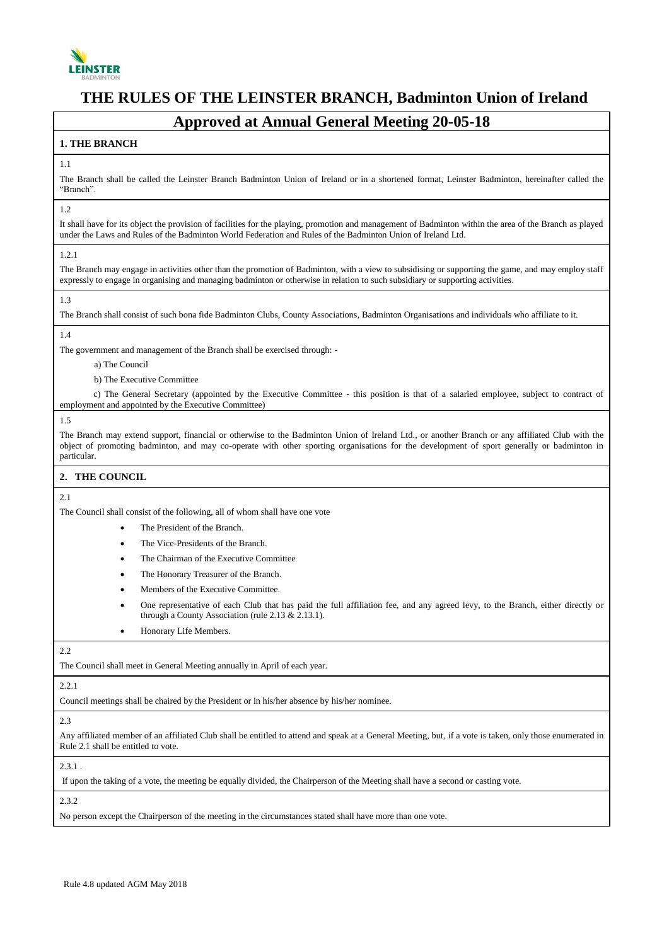

# **Approved at Annual General Meeting 20-05-18**

## **1. THE BRANCH**

## 1.1

The Branch shall be called the Leinster Branch Badminton Union of Ireland or in a shortened format, Leinster Badminton, hereinafter called the "Branch".

#### 1.2

It shall have for its object the provision of facilities for the playing, promotion and management of Badminton within the area of the Branch as played under the Laws and Rules of the Badminton World Federation and Rules of the Badminton Union of Ireland Ltd.

#### 1.2.1

The Branch may engage in activities other than the promotion of Badminton, with a view to subsidising or supporting the game, and may employ staff expressly to engage in organising and managing badminton or otherwise in relation to such subsidiary or supporting activities.

## 1.3

The Branch shall consist of such bona fide Badminton Clubs, County Associations, Badminton Organisations and individuals who affiliate to it.

## 1.4

The government and management of the Branch shall be exercised through: -

- a) The Council
- b) The Executive Committee

 c) The General Secretary (appointed by the Executive Committee - this position is that of a salaried employee, subject to contract of employment and appointed by the Executive Committee)

#### 1.5

The Branch may extend support, financial or otherwise to the Badminton Union of Ireland Ltd., or another Branch or any affiliated Club with the object of promoting badminton, and may co-operate with other sporting organisations for the development of sport generally or badminton in particular.

## **2. THE COUNCIL**

## 2.1

The Council shall consist of the following, all of whom shall have one vote

- The President of the Branch.
- The Vice-Presidents of the Branch.
- The Chairman of the Executive Committee
- The Honorary Treasurer of the Branch.
- Members of the Executive Committee.
- One representative of each Club that has paid the full affiliation fee, and any agreed levy, to the Branch, either directly or through a County Association (rule 2.13 & 2.13.1).
- **•** Honorary Life Members.

#### $2.2$

The Council shall meet in General Meeting annually in April of each year.

#### 2.2.1

Council meetings shall be chaired by the President or in his/her absence by his/her nominee.

#### 2.3

Any affiliated member of an affiliated Club shall be entitled to attend and speak at a General Meeting, but, if a vote is taken, only those enumerated in Rule 2.1 shall be entitled to vote.

## $2.3.1$ .

If upon the taking of a vote, the meeting be equally divided, the Chairperson of the Meeting shall have a second or casting vote.

 $2.3.2$ 

No person except the Chairperson of the meeting in the circumstances stated shall have more than one vote.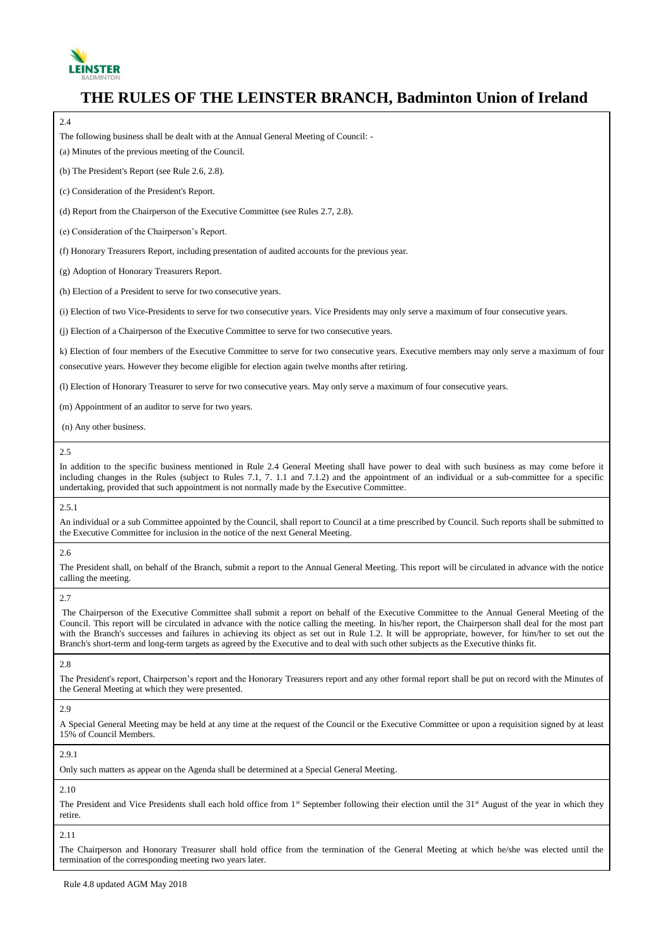

| The following business shall be dealt with at the Annual General Meeting of Council: -                                                        |
|-----------------------------------------------------------------------------------------------------------------------------------------------|
| (a) Minutes of the previous meeting of the Council.                                                                                           |
| (b) The President's Report (see Rule 2.6, 2.8).                                                                                               |
| (c) Consideration of the President's Report.                                                                                                  |
| (d) Report from the Chairperson of the Executive Committee (see Rules 2.7, 2.8).                                                              |
| (e) Consideration of the Chairperson's Report.                                                                                                |
| (f) Honorary Treasurers Report, including presentation of audited accounts for the previous year.                                             |
| (g) Adoption of Honorary Treasurers Report.                                                                                                   |
| (h) Election of a President to serve for two consecutive years.                                                                               |
| (i) Election of two Vice-Presidents to serve for two consecutive years. Vice Presidents may only serve a maximum of four consecutive years.   |
| (j) Election of a Chairperson of the Executive Committee to serve for two consecutive years.                                                  |
| k) Election of four members of the Executive Committee to serve for two consecutive years. Executive members may only serve a maximum of four |
| consecutive years. However they become eligible for election again twelve months after retiring.                                              |
| (I) Election of Honorary Treasurer to serve for two consecutive years. May only serve a maximum of four consecutive years.                    |
| (m) Appointment of an auditor to serve for two years.                                                                                         |
| (n) Any other business.                                                                                                                       |

In addition to the specific business mentioned in Rule 2.4 General Meeting shall have power to deal with such business as may come before it including changes in the Rules (subject to Rules 7.1, 7. 1.1 and 7.1.2) and the appointment of an individual or a sub-committee for a specific undertaking, provided that such appointment is not normally made by the Executive Committee.

## 2.5.1

An individual or a sub Committee appointed by the Council, shall report to Council at a time prescribed by Council. Such reports shall be submitted to the Executive Committee for inclusion in the notice of the next General Meeting.

#### 2.6

The President shall, on behalf of the Branch, submit a report to the Annual General Meeting. This report will be circulated in advance with the notice calling the meeting.

2.7

The Chairperson of the Executive Committee shall submit a report on behalf of the Executive Committee to the Annual General Meeting of the Council. This report will be circulated in advance with the notice calling the meeting. In his/her report, the Chairperson shall deal for the most part with the Branch's successes and failures in achieving its object as set out in Rule 1.2. It will be appropriate, however, for him/her to set out the Branch's short-term and long-term targets as agreed by the Executive and to deal with such other subjects as the Executive thinks fit.

2.8

The President's report, Chairperson's report and the Honorary Treasurers report and any other formal report shall be put on record with the Minutes of the General Meeting at which they were presented.

#### 2.9

A Special General Meeting may be held at any time at the request of the Council or the Executive Committee or upon a requisition signed by at least 15% of Council Members.

2.9.1

Only such matters as appear on the Agenda shall be determined at a Special General Meeting.

## 2.10

The President and Vice Presidents shall each hold office from 1<sup>st</sup> September following their election until the 31<sup>st</sup> August of the year in which they retire.

2.11

The Chairperson and Honorary Treasurer shall hold office from the termination of the General Meeting at which he/she was elected until the termination of the corresponding meeting two years later.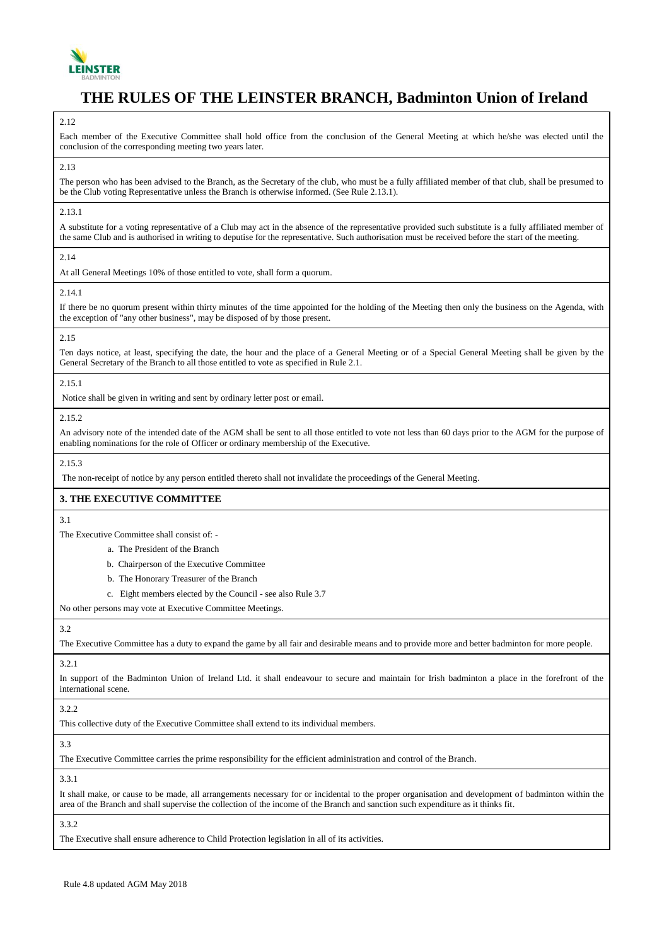

#### $2.12$

Each member of the Executive Committee shall hold office from the conclusion of the General Meeting at which he/she was elected until the conclusion of the corresponding meeting two years later.

#### 2.13

The person who has been advised to the Branch, as the Secretary of the club, who must be a fully affiliated member of that club, shall be presumed to be the Club voting Representative unless the Branch is otherwise informed. (See Rule 2.13.1).

#### 2.13.1

A substitute for a voting representative of a Club may act in the absence of the representative provided such substitute is a fully affiliated member of the same Club and is authorised in writing to deputise for the representative. Such authorisation must be received before the start of the meeting.

#### 2.14

At all General Meetings 10% of those entitled to vote, shall form a quorum.

#### 2.14.1

If there be no quorum present within thirty minutes of the time appointed for the holding of the Meeting then only the business on the Agenda, with the exception of "any other business", may be disposed of by those present.

#### 2.15

Ten days notice, at least, specifying the date, the hour and the place of a General Meeting or of a Special General Meeting shall be given by the General Secretary of the Branch to all those entitled to vote as specified in Rule 2.1.

#### 2.15.1

Notice shall be given in writing and sent by ordinary letter post or email.

#### 2.15.2

An advisory note of the intended date of the AGM shall be sent to all those entitled to vote not less than 60 days prior to the AGM for the purpose of enabling nominations for the role of Officer or ordinary membership of the Executive.

## 2.15.3

The non-receipt of notice by any person entitled thereto shall not invalidate the proceedings of the General Meeting.

## **3. THE EXECUTIVE COMMITTEE**

## 3.1

The Executive Committee shall consist of: -

- a. The President of the Branch
- b. Chairperson of the Executive Committee
- b. The Honorary Treasurer of the Branch
- c. Eight members elected by the Council see also Rule 3.7

No other persons may vote at Executive Committee Meetings.

#### 3.2

The Executive Committee has a duty to expand the game by all fair and desirable means and to provide more and better badminton for more people.

## 3.2.1

In support of the Badminton Union of Ireland Ltd. it shall endeavour to secure and maintain for Irish badminton a place in the forefront of the international scene.

## 322

This collective duty of the Executive Committee shall extend to its individual members.

## 3.3

The Executive Committee carries the prime responsibility for the efficient administration and control of the Branch.

#### 3.3.1

It shall make, or cause to be made, all arrangements necessary for or incidental to the proper organisation and development of badminton within the area of the Branch and shall supervise the collection of the income of the Branch and sanction such expenditure as it thinks fit.

3.3.2

The Executive shall ensure adherence to Child Protection legislation in all of its activities.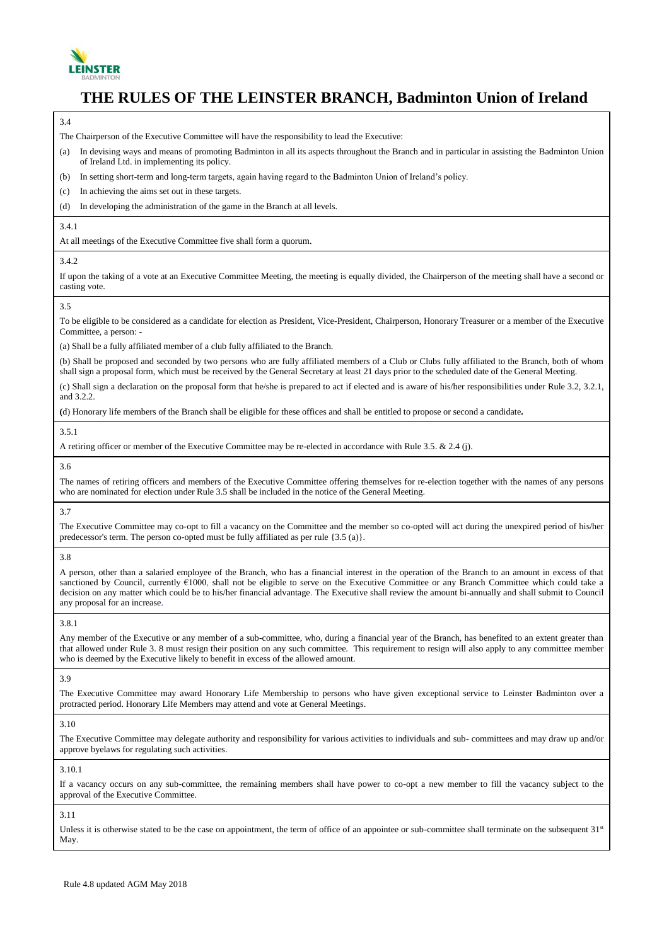

#### 3.4

The Chairperson of the Executive Committee will have the responsibility to lead the Executive:

(a) In devising ways and means of promoting Badminton in all its aspects throughout the Branch and in particular in assisting the Badminton Union of Ireland Ltd. in implementing its policy.

- (b) In setting short-term and long-term targets, again having regard to the Badminton Union of Ireland's policy.
- (c) In achieving the aims set out in these targets.
- (d) In developing the administration of the game in the Branch at all levels.

### 3.4.1

At all meetings of the Executive Committee five shall form a quorum.

#### 3.4.2

If upon the taking of a vote at an Executive Committee Meeting, the meeting is equally divided, the Chairperson of the meeting shall have a second or casting vote.

#### 3.5

To be eligible to be considered as a candidate for election as President, Vice-President, Chairperson, Honorary Treasurer or a member of the Executive Committee, a person: -

(a) Shall be a fully affiliated member of a club fully affiliated to the Branch.

(b) Shall be proposed and seconded by two persons who are fully affiliated members of a Club or Clubs fully affiliated to the Branch, both of whom shall sign a proposal form, which must be received by the General Secretary at least 21 days prior to the scheduled date of the General Meeting.

(c) Shall sign a declaration on the proposal form that he/she is prepared to act if elected and is aware of his/her responsibilities under Rule 3.2, 3.2.1, and 3.2.2.

**(**d) Honorary life members of the Branch shall be eligible for these offices and shall be entitled to propose or second a candidate**.**

## 3.5.1

A retiring officer or member of the Executive Committee may be re-elected in accordance with Rule 3.5. & 2.4 (j).

3.6

The names of retiring officers and members of the Executive Committee offering themselves for re-election together with the names of any persons who are nominated for election under Rule 3.5 shall be included in the notice of the General Meeting.

#### 3.7

The Executive Committee may co-opt to fill a vacancy on the Committee and the member so co-opted will act during the unexpired period of his/her predecessor's term. The person co-opted must be fully affiliated as per rule {3.5 (a)}.

3.8

A person, other than a salaried employee of the Branch, who has a financial interest in the operation of the Branch to an amount in excess of that sanctioned by Council, currently €1000, shall not be eligible to serve on the Executive Committee or any Branch Committee which could take a decision on any matter which could be to his/her financial advantage. The Executive shall review the amount bi-annually and shall submit to Council any proposal for an increase.

#### 3.8.1

Any member of the Executive or any member of a sub-committee, who, during a financial year of the Branch, has benefited to an extent greater than that allowed under Rule 3. 8 must resign their position on any such committee. This requirement to resign will also apply to any committee member who is deemed by the Executive likely to benefit in excess of the allowed amount.

#### 3.9

The Executive Committee may award Honorary Life Membership to persons who have given exceptional service to Leinster Badminton over a protracted period. Honorary Life Members may attend and vote at General Meetings.

3.10

The Executive Committee may delegate authority and responsibility for various activities to individuals and sub- committees and may draw up and/or approve byelaws for regulating such activities.

3.10.1

If a vacancy occurs on any sub-committee, the remaining members shall have power to co-opt a new member to fill the vacancy subject to the approval of the Executive Committee.

## 3.11

Unless it is otherwise stated to be the case on appointment, the term of office of an appointee or sub-committee shall terminate on the subsequent  $31<sup>st</sup>$ May.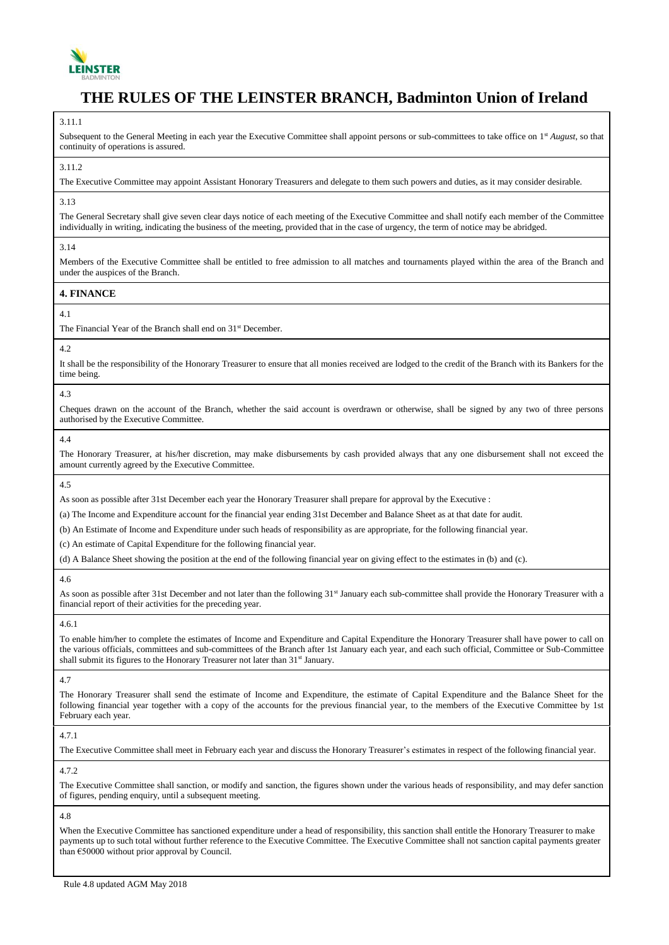

#### 3.11.1

Subsequent to the General Meeting in each year the Executive Committee shall appoint persons or sub-committees to take office on 1<sup>st</sup> *August*, so that continuity of operations is assured.

#### 3.11.2

The Executive Committee may appoint Assistant Honorary Treasurers and delegate to them such powers and duties, as it may consider desirable.

#### 3.13

The General Secretary shall give seven clear days notice of each meeting of the Executive Committee and shall notify each member of the Committee individually in writing, indicating the business of the meeting, provided that in the case of urgency, the term of notice may be abridged.

#### 3.14

Members of the Executive Committee shall be entitled to free admission to all matches and tournaments played within the area of the Branch and under the auspices of the Branch.

#### **4. FINANCE**

## 4.1

The Financial Year of the Branch shall end on 31<sup>st</sup> December.

## 4.2

It shall be the responsibility of the Honorary Treasurer to ensure that all monies received are lodged to the credit of the Branch with its Bankers for the time being.

## 4.3

Cheques drawn on the account of the Branch, whether the said account is overdrawn or otherwise, shall be signed by any two of three persons authorised by the Executive Committee.

#### 4.4

The Honorary Treasurer, at his/her discretion, may make disbursements by cash provided always that any one disbursement shall not exceed the amount currently agreed by the Executive Committee.

4.5

As soon as possible after 31st December each year the Honorary Treasurer shall prepare for approval by the Executive :

(a) The Income and Expenditure account for the financial year ending 31st December and Balance Sheet as at that date for audit.

(b) An Estimate of Income and Expenditure under such heads of responsibility as are appropriate, for the following financial year.

(c) An estimate of Capital Expenditure for the following financial year.

(d) A Balance Sheet showing the position at the end of the following financial year on giving effect to the estimates in (b) and (c).

#### 4.6

As soon as possible after 31st December and not later than the following 31<sup>st</sup> January each sub-committee shall provide the Honorary Treasurer with a financial report of their activities for the preceding year.

#### 4.6.1

To enable him/her to complete the estimates of Income and Expenditure and Capital Expenditure the Honorary Treasurer shall have power to call on the various officials, committees and sub-committees of the Branch after 1st January each year, and each such official, Committee or Sub-Committee shall submit its figures to the Honorary Treasurer not later than 31<sup>st</sup> January.

4.7

The Honorary Treasurer shall send the estimate of Income and Expenditure, the estimate of Capital Expenditure and the Balance Sheet for the following financial year together with a copy of the accounts for the previous financial year, to the members of the Executive Committee by 1st February each year.

## 4.7.1

The Executive Committee shall meet in February each year and discuss the Honorary Treasurer's estimates in respect of the following financial year.

4.72

The Executive Committee shall sanction, or modify and sanction, the figures shown under the various heads of responsibility, and may defer sanction of figures, pending enquiry, until a subsequent meeting.

#### 4.8

When the Executive Committee has sanctioned expenditure under a head of responsibility, this sanction shall entitle the Honorary Treasurer to make payments up to such total without further reference to the Executive Committee. The Executive Committee shall not sanction capital payments greater than €50000 without prior approval by Council.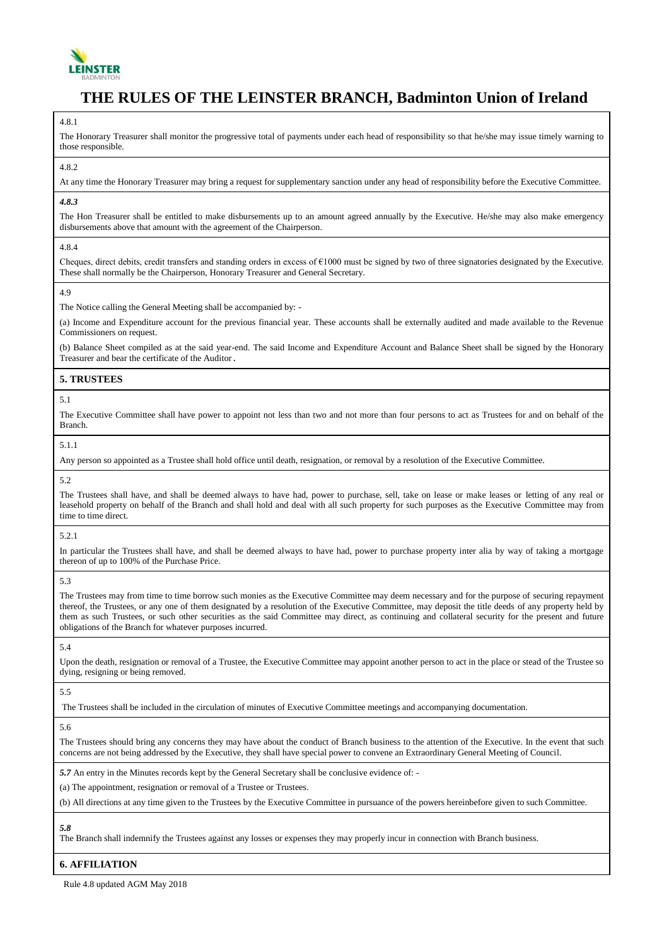

#### 4.8.1

The Honorary Treasurer shall monitor the progressive total of payments under each head of responsibility so that he/she may issue timely warning to those responsible.

#### 4.8.2

At any time the Honorary Treasurer may bring a request for supplementary sanction under any head of responsibility before the Executive Committee.

## *4.8.3*

The Hon Treasurer shall be entitled to make disbursements up to an amount agreed annually by the Executive. He/she may also make emergency disbursements above that amount with the agreement of the Chairperson.

4.8.4

Cheques, direct debits, credit transfers and standing orders in excess of  $\epsilon$ 1000 must be signed by two of three signatories designated by the Executive. These shall normally be the Chairperson, Honorary Treasurer and General Secretary.

## 4.9

The Notice calling the General Meeting shall be accompanied by: -

(a) Income and Expenditure account for the previous financial year. These accounts shall be externally audited and made available to the Revenue Commissioners on request.

(b) Balance Sheet compiled as at the said year-end. The said Income and Expenditure Account and Balance Sheet shall be signed by the Honorary Treasurer and bear the certificate of the Auditor.

## **5. TRUSTEES**

## 5.1

The Executive Committee shall have power to appoint not less than two and not more than four persons to act as Trustees for and on behalf of the Branch.

## 5.1.1

Any person so appointed as a Trustee shall hold office until death, resignation, or removal by a resolution of the Executive Committee.

#### 5.2

The Trustees shall have, and shall be deemed always to have had, power to purchase, sell, take on lease or make leases or letting of any real or leasehold property on behalf of the Branch and shall hold and deal with all such property for such purposes as the Executive Committee may from time to time direct.

#### 5.2.1

In particular the Trustees shall have, and shall be deemed always to have had, power to purchase property inter alia by way of taking a mortgage thereon of up to 100% of the Purchase Price.

#### 5.3

The Trustees may from time to time borrow such monies as the Executive Committee may deem necessary and for the purpose of securing repayment thereof, the Trustees, or any one of them designated by a resolution of the Executive Committee, may deposit the title deeds of any property held by them as such Trustees, or such other securities as the said Committee may direct, as continuing and collateral security for the present and future obligations of the Branch for whatever purposes incurred.

### 5.4

Upon the death, resignation or removal of a Trustee, the Executive Committee may appoint another person to act in the place or stead of the Trustee so dying, resigning or being removed.

## 5.5

The Trustees shall be included in the circulation of minutes of Executive Committee meetings and accompanying documentation.

## 5.6

The Trustees should bring any concerns they may have about the conduct of Branch business to the attention of the Executive. In the event that such concerns are not being addressed by the Executive, they shall have special power to convene an Extraordinary General Meeting of Council.

*5.7* An entry in the Minutes records kept by the General Secretary shall be conclusive evidence of: -

(a) The appointment, resignation or removal of a Trustee or Trustees.

(b) All directions at any time given to the Trustees by the Executive Committee in pursuance of the powers hereinbefore given to such Committee.

## *5.8*

The Branch shall indemnify the Trustees against any losses or expenses they may properly incur in connection with Branch business.

## **6. AFFILIATION**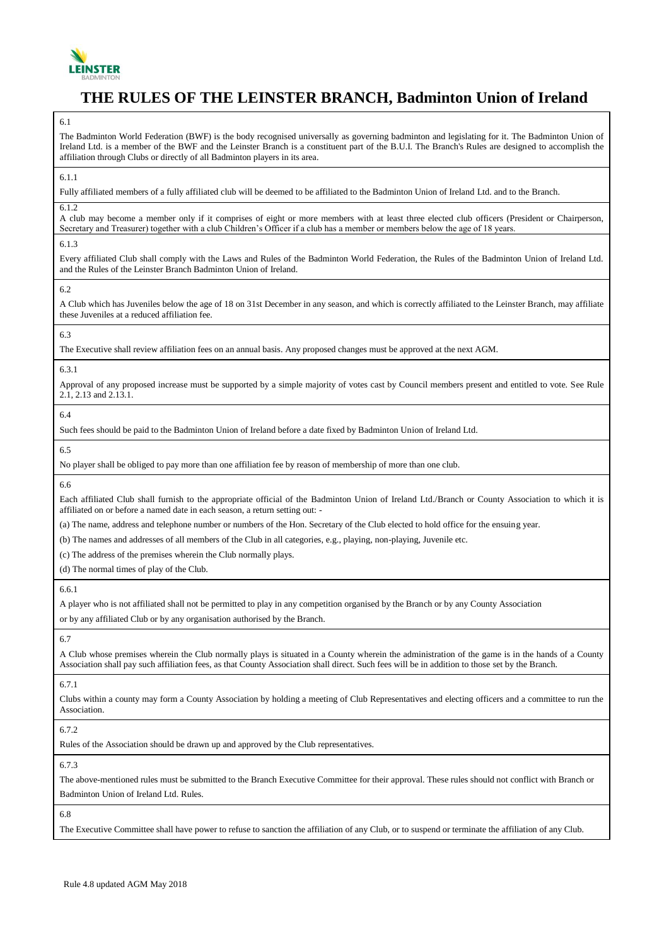

The Badminton World Federation (BWF) is the body recognised universally as governing badminton and legislating for it. The Badminton Union of Ireland Ltd. is a member of the BWF and the Leinster Branch is a constituent part of the B.U.I. The Branch's Rules are designed to accomplish the affiliation through Clubs or directly of all Badminton players in its area.

6.1.1

Fully affiliated members of a fully affiliated club will be deemed to be affiliated to the Badminton Union of Ireland Ltd. and to the Branch.

## 6.1.2

A club may become a member only if it comprises of eight or more members with at least three elected club officers (President or Chairperson, Secretary and Treasurer) together with a club Children's Officer if a club has a member or members below the age of 18 years.

## 6.1.3

Every affiliated Club shall comply with the Laws and Rules of the Badminton World Federation, the Rules of the Badminton Union of Ireland Ltd. and the Rules of the Leinster Branch Badminton Union of Ireland.

6.2

A Club which has Juveniles below the age of 18 on 31st December in any season, and which is correctly affiliated to the Leinster Branch, may affiliate these Juveniles at a reduced affiliation fee.

## 6.3

The Executive shall review affiliation fees on an annual basis. Any proposed changes must be approved at the next AGM.

## 6.3.1

Approval of any proposed increase must be supported by a simple majority of votes cast by Council members present and entitled to vote. See Rule 2.1, 2.13 and 2.13.1.

## 6.4

Such fees should be paid to the Badminton Union of Ireland before a date fixed by Badminton Union of Ireland Ltd.

6.5

No player shall be obliged to pay more than one affiliation fee by reason of membership of more than one club.

6.6

Each affiliated Club shall furnish to the appropriate official of the Badminton Union of Ireland Ltd./Branch or County Association to which it is affiliated on or before a named date in each season, a return setting out: -

(a) The name, address and telephone number or numbers of the Hon. Secretary of the Club elected to hold office for the ensuing year.

(b) The names and addresses of all members of the Club in all categories, e.g., playing, non-playing, Juvenile etc.

(c) The address of the premises wherein the Club normally plays.

(d) The normal times of play of the Club.

## 6.6.1

A player who is not affiliated shall not be permitted to play in any competition organised by the Branch or by any County Association or by any affiliated Club or by any organisation authorised by the Branch.

## 6.7

A Club whose premises wherein the Club normally plays is situated in a County wherein the administration of the game is in the hands of a County Association shall pay such affiliation fees, as that County Association shall direct. Such fees will be in addition to those set by the Branch.

## 6.7.1

Clubs within a county may form a County Association by holding a meeting of Club Representatives and electing officers and a committee to run the Association.

6.7.2

Rules of the Association should be drawn up and approved by the Club representatives.

6.7.3

The above-mentioned rules must be submitted to the Branch Executive Committee for their approval. These rules should not conflict with Branch or Badminton Union of Ireland Ltd. Rules.

6.8

The Executive Committee shall have power to refuse to sanction the affiliation of any Club, or to suspend or terminate the affiliation of any Club.

<sup>6.1</sup>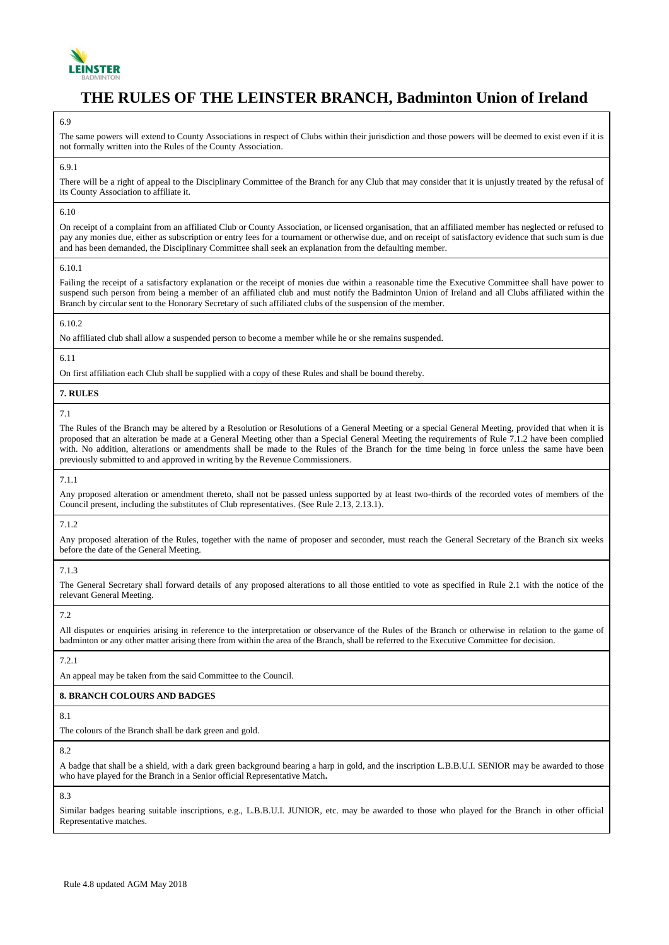

#### 6.9

The same powers will extend to County Associations in respect of Clubs within their jurisdiction and those powers will be deemed to exist even if it is not formally written into the Rules of the County Association.

#### 6.9.1

There will be a right of appeal to the Disciplinary Committee of the Branch for any Club that may consider that it is unjustly treated by the refusal of its County Association to affiliate it.

#### 6.10

On receipt of a complaint from an affiliated Club or County Association, or licensed organisation, that an affiliated member has neglected or refused to pay any monies due, either as subscription or entry fees for a tournament or otherwise due, and on receipt of satisfactory evidence that such sum is due and has been demanded, the Disciplinary Committee shall seek an explanation from the defaulting member.

#### 6.10.1

Failing the receipt of a satisfactory explanation or the receipt of monies due within a reasonable time the Executive Committee shall have power to suspend such person from being a member of an affiliated club and must notify the Badminton Union of Ireland and all Clubs affiliated within the Branch by circular sent to the Honorary Secretary of such affiliated clubs of the suspension of the member.

#### 6.10.2

No affiliated club shall allow a suspended person to become a member while he or she remains suspended.

#### 6.11

On first affiliation each Club shall be supplied with a copy of these Rules and shall be bound thereby.

#### **7. RULES**

7.1

The Rules of the Branch may be altered by a Resolution or Resolutions of a General Meeting or a special General Meeting, provided that when it is proposed that an alteration be made at a General Meeting other than a Special General Meeting the requirements of Rule 7.1.2 have been complied with. No addition, alterations or amendments shall be made to the Rules of the Branch for the time being in force unless the same have been previously submitted to and approved in writing by the Revenue Commissioners.

#### 7.1.1

Any proposed alteration or amendment thereto, shall not be passed unless supported by at least two-thirds of the recorded votes of members of the Council present, including the substitutes of Club representatives. (See Rule 2.13, 2.13.1).

#### 7.1.2

Any proposed alteration of the Rules, together with the name of proposer and seconder, must reach the General Secretary of the Branch six weeks before the date of the General Meeting.

#### 7.1.3

The General Secretary shall forward details of any proposed alterations to all those entitled to vote as specified in Rule 2.1 with the notice of the relevant General Meeting.

#### 7.2

All disputes or enquiries arising in reference to the interpretation or observance of the Rules of the Branch or otherwise in relation to the game of badminton or any other matter arising there from within the area of the Branch, shall be referred to the Executive Committee for decision.

## 7.2.1

An appeal may be taken from the said Committee to the Council.

#### **8. BRANCH COLOURS AND BADGES**

8.1

The colours of the Branch shall be dark green and gold.

8.2

A badge that shall be a shield, with a dark green background bearing a harp in gold, and the inscription L.B.B.U.I. SENIOR may be awarded to those who have played for the Branch in a Senior official Representative Match**.**

8.3

Similar badges bearing suitable inscriptions, e.g., L.B.B.U.I. JUNIOR, etc. may be awarded to those who played for the Branch in other official Representative matches.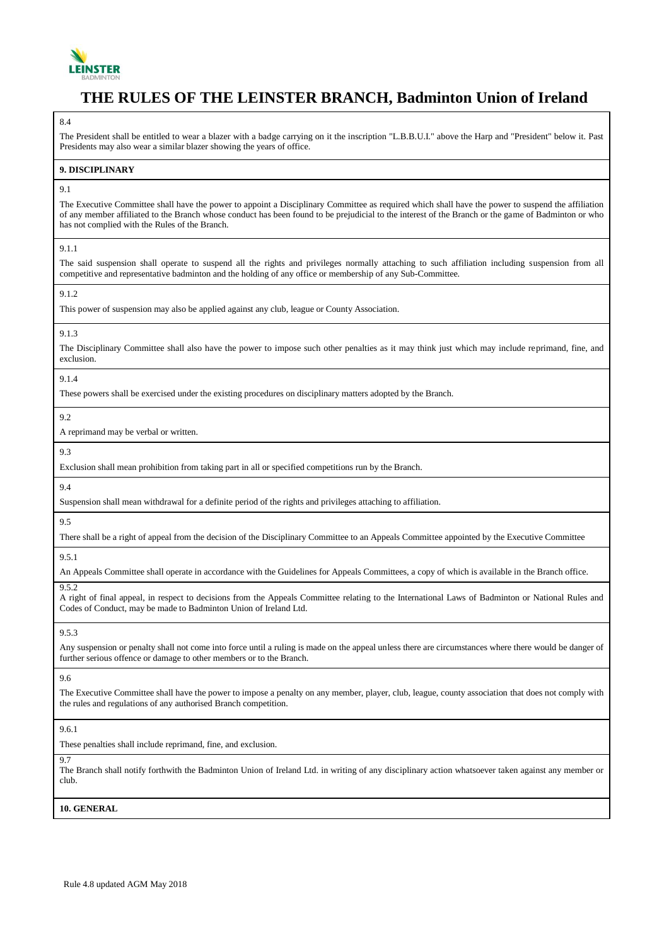

#### 8.4

The President shall be entitled to wear a blazer with a badge carrying on it the inscription "L.B.B.U.I." above the Harp and "President" below it. Past Presidents may also wear a similar blazer showing the years of office.

#### **9. DISCIPLINARY**

#### 9.1

The Executive Committee shall have the power to appoint a Disciplinary Committee as required which shall have the power to suspend the affiliation of any member affiliated to the Branch whose conduct has been found to be prejudicial to the interest of the Branch or the game of Badminton or who has not complied with the Rules of the Branch.

## 9.1.1

The said suspension shall operate to suspend all the rights and privileges normally attaching to such affiliation including suspension from all competitive and representative badminton and the holding of any office or membership of any Sub-Committee.

## $9.1.2$

This power of suspension may also be applied against any club, league or County Association.

## 9.1.3

The Disciplinary Committee shall also have the power to impose such other penalties as it may think just which may include reprimand, fine, and exclusion.

#### 9.1.4

These powers shall be exercised under the existing procedures on disciplinary matters adopted by the Branch.

9.2

A reprimand may be verbal or written.

9.3

Exclusion shall mean prohibition from taking part in all or specified competitions run by the Branch.

#### 9.4

Suspension shall mean withdrawal for a definite period of the rights and privileges attaching to affiliation.

9.5

There shall be a right of appeal from the decision of the Disciplinary Committee to an Appeals Committee appointed by the Executive Committee

9.5.1

An Appeals Committee shall operate in accordance with the Guidelines for Appeals Committees, a copy of which is available in the Branch office.

9.5.2

A right of final appeal, in respect to decisions from the Appeals Committee relating to the International Laws of Badminton or National Rules and Codes of Conduct, may be made to Badminton Union of Ireland Ltd.

9.5.3

Any suspension or penalty shall not come into force until a ruling is made on the appeal unless there are circumstances where there would be danger of further serious offence or damage to other members or to the Branch.

9.6

The Executive Committee shall have the power to impose a penalty on any member, player, club, league, county association that does not comply with the rules and regulations of any authorised Branch competition.

9.6.1

These penalties shall include reprimand, fine, and exclusion.

9.7

The Branch shall notify forthwith the Badminton Union of Ireland Ltd. in writing of any disciplinary action whatsoever taken against any member or club

**10. GENERAL**